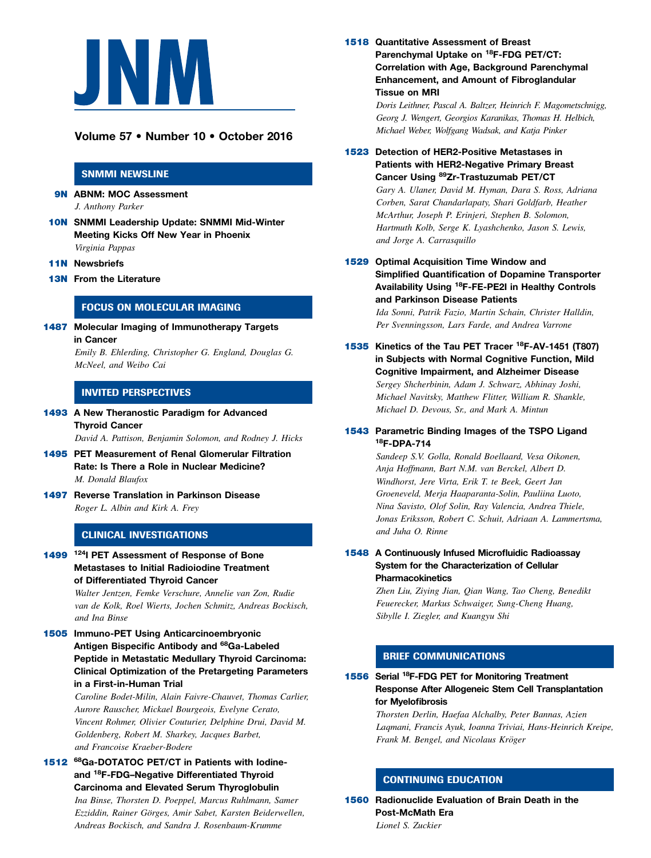

# Volume 57 • Number 10 • October 2016

#### SNMMI NEWSLINE

9N ABNM: MOC Assessment J. Anthony Parker

- 10N SNMMI Leadership Update: SNMMI Mid-Winter Meeting Kicks Off New Year in Phoenix Virginia Pappas
- **11N** Newsbriefs
- 13N From the Literature

## FOCUS ON MOLECULAR IMAGING

**1487** Molecular Imaging of Immunotherapy Targets in Cancer

> Emily B. Ehlerding, Christopher G. England, Douglas G. McNeel, and Weibo Cai

## INVITED PERSPECTIVES

1493 A New Theranostic Paradigm for Advanced Thyroid Cancer

David A. Pattison, Benjamin Solomon, and Rodney J. Hicks

- 1495 PET Measurement of Renal Glomerular Filtration Rate: Is There a Role in Nuclear Medicine? M. Donald Blaufox
- 1497 Reverse Translation in Parkinson Disease Roger L. Albin and Kirk A. Frey

#### CLINICAL INVESTIGATIONS

1499 <sup>124</sup>I PET Assessment of Response of Bone Metastases to Initial Radioiodine Treatment of Differentiated Thyroid Cancer

> Walter Jentzen, Femke Verschure, Annelie van Zon, Rudie van de Kolk, Roel Wierts, Jochen Schmitz, Andreas Bockisch, and Ina Binse

1505 Immuno-PET Using Anticarcinoembryonic Antigen Bispecific Antibody and <sup>68</sup>Ga-Labeled Peptide in Metastatic Medullary Thyroid Carcinoma: Clinical Optimization of the Pretargeting Parameters in a First-in-Human Trial

> Caroline Bodet-Milin, Alain Faivre-Chauvet, Thomas Carlier, Aurore Rauscher, Mickael Bourgeois, Evelyne Cerato, Vincent Rohmer, Olivier Couturier, Delphine Drui, David M. Goldenberg, Robert M. Sharkey, Jacques Barbet, and Francoise Kraeber-Bodere

1512 <sup>68</sup>Ga-DOTATOC PET/CT in Patients with lodineand 18F-FDG–Negative Differentiated Thyroid Carcinoma and Elevated Serum Thyroglobulin

> Ina Binse, Thorsten D. Poeppel, Marcus Ruhlmann, Samer Ezziddin, Rainer Görges, Amir Sabet, Karsten Beiderwellen, Andreas Bockisch, and Sandra J. Rosenbaum-Krumme

1518 Quantitative Assessment of Breast Parenchymal Uptake on <sup>18</sup>F-FDG PET/CT: Correlation with Age, Background Parenchymal Enhancement, and Amount of Fibroglandular Tissue on MRI

> Doris Leithner, Pascal A. Baltzer, Heinrich F. Magometschnigg, Georg J. Wengert, Georgios Karanikas, Thomas H. Helbich, Michael Weber, Wolfgang Wadsak, and Katja Pinker

1523 Detection of HER2-Positive Metastases in Patients with HER2-Negative Primary Breast Cancer Using 89Zr-Trastuzumab PET/CT

> Gary A. Ulaner, David M. Hyman, Dara S. Ross, Adriana Corben, Sarat Chandarlapaty, Shari Goldfarb, Heather McArthur, Joseph P. Erinjeri, Stephen B. Solomon, Hartmuth Kolb, Serge K. Lyashchenko, Jason S. Lewis, and Jorge A. Carrasquillo

1529 Optimal Acquisition Time Window and Simplified Quantification of Dopamine Transporter Availability Using <sup>18</sup>F-FE-PE2I in Healthy Controls and Parkinson Disease Patients

> Ida Sonni, Patrik Fazio, Martin Schain, Christer Halldin, Per Svenningsson, Lars Farde, and Andrea Varrone

1535 Kinetics of the Tau PET Tracer <sup>18</sup>F-AV-1451 (T807) in Subjects with Normal Cognitive Function, Mild Cognitive Impairment, and Alzheimer Disease Sergey Shcherbinin, Adam J. Schwarz, Abhinay Joshi, Michael Navitsky, Matthew Flitter, William R. Shankle, Michael D. Devous, Sr., and Mark A. Mintun

#### 1543 Parametric Binding Images of the TSPO Ligand 18F-DPA-714

Sandeep S.V. Golla, Ronald Boellaard, Vesa Oikonen, Anja Hoffmann, Bart N.M. van Berckel, Albert D. Windhorst, Jere Virta, Erik T. te Beek, Geert Jan Groeneveld, Merja Haaparanta-Solin, Pauliina Luoto, Nina Savisto, Olof Solin, Ray Valencia, Andrea Thiele, Jonas Eriksson, Robert C. Schuit, Adriaan A. Lammertsma, and Juha O. Rinne

#### 1548 A Continuously Infused Microfluidic Radioassay System for the Characterization of Cellular **Pharmacokinetics**

Zhen Liu, Ziying Jian, Qian Wang, Tao Cheng, Benedikt Feuerecker, Markus Schwaiger, Sung-Cheng Huang, Sibylle I. Ziegler, and Kuangyu Shi

## BRIEF COMMUNICATIONS

1556 Serial 18F-FDG PET for Monitoring Treatment Response After Allogeneic Stem Cell Transplantation for Myelofibrosis

> Thorsten Derlin, Haefaa Alchalby, Peter Bannas, Azien Laqmani, Francis Ayuk, Ioanna Triviai, Hans-Heinrich Kreipe, Frank M. Bengel, and Nicolaus Kröger

## CONTINUING EDUCATION

1560 Radionuclide Evaluation of Brain Death in the Post-McMath Era Lionel S. Zuckier